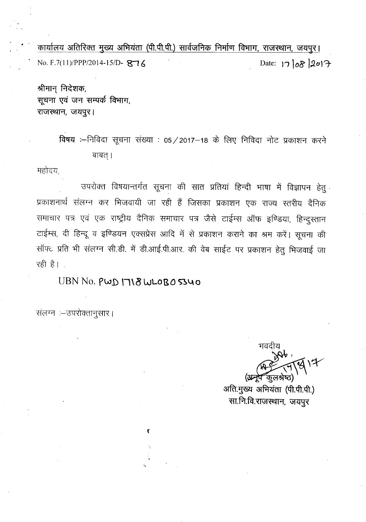कार्यालय अतिरिक्त मुख्य अभियंता (पी.पी.पी.) सार्वजनिक निर्माण विभाग, राजस्थान, जयपुर। No. F.7(11)/PPP/2014-15/D- 876

श्रीमान् निदेशक, *भूचना एवं जन सम्पर्क विभाग,* राजस्थान, जयपुर।

> विषय :--निविदा सूचना संख्या : 05 / 2017-18 के लिए निविदा नोट प्रकाशन करने बाबत् ।

महोदय,

उपरोक्त विषयान्तर्गत सूचना की सात प्रतियां हिन्दी भाषा में विज्ञापन हेतू प्रकाशनार्थ संलग्न कर भिजवायी जा रही हैं जिसका प्रकाशन एक राज्य स्तरीय दैनिक समाचार पत्र एवं एक राष्ट्रीय दैनिक समाचार पत्र जैसे टाईम्स ऑफ इण्डिया, हिन्दुस्तान टाईम्स, दी हिन्दू व इण्डियन एक्सप्रेस आदि में से प्रकाशन कराने का श्रम करें। सूचना की सॉफ्ट प्रति भी संलग्न सी.डी. में डी.आई.पी.आर. की वेब साईट पर प्रकाशन हेतु भिजवाई जा रही है।

UBN No.  $PWD$   $118$  WL0BO 5340

"

ť

संलग्न :- उपरोक्तानुसार।

भवदीय (अन्नेप <sup>2</sup>कलश्रेष्ठ)

अति.मुख्य अभियंता (पी.पी.पी.) सा.नि.वि.राजस्थान, जयपुर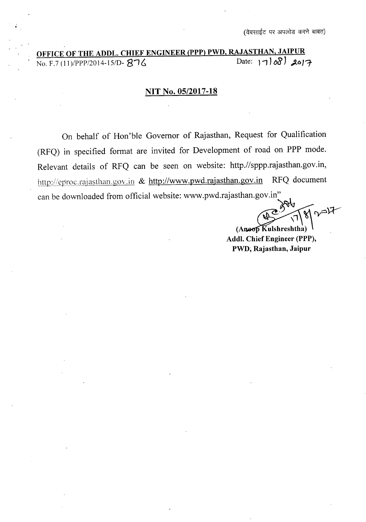# OFFICE OF THE ADDL. CHIEF ENGINEER (PPP) PWD, RAJASTHAN, JAIPUR<br>7100. F.7 (11)/PPP/2014-15/D- 876

#### **NIT No. OS/2017-18**

On behalf of Hon'ble Governor of Rajasthan, Request for Qualification (RFQ) in specified format are invited for Development of road on **PPP** mode. Relevant details of RFQ can be seen on website: http.//sppp.rajasthan.gov.in, http://eproc.rajasthan.gov.in & http://www.pwd.rajasthan.gov.in RFQ document can be downloaded from official website: www.pwd.rajasthan.gov.in"

~  $M_{\text{max}}$ 

 $(A$ noop $\widetilde{K}$ ulshreshtha) **Addl. Chief Engineer (PPP), PWD; Rajasthan, Jaipur**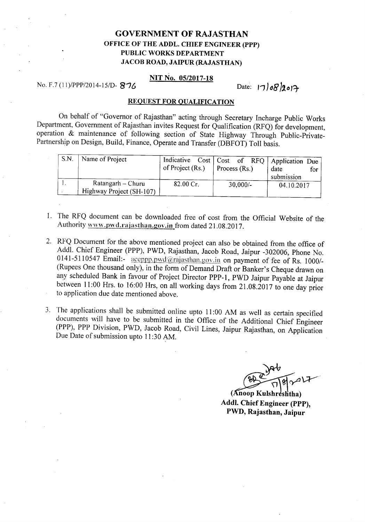### GOVERNMENT **OF** RAJASTHAN OFFICE OF THE ADDL. CHIEF ENGINEER (PPP) PUBLIC WORKS DEPARTMENT JACOB ROAD, JAIPUR (RAJASTHAN)

#### NIT No. OS/2017-18

#### No. F.7 *(11)/PPP/2014-151D- 8"16*

#### Date:  $17082019$

#### REQUEST FOR QUALIFICATION

On behalf of "Governor of Rajasthan" acting through Secretary Incharge Public Works Department, Government of Rajasthan invites Request for Qualification (RFQ) for development, operation & maintenance of following section of State Highway Through Public-Private-Partnership on Design, Build, Finance, Operate and Transfer (DBFOT) Toll basis.

| S.N. | Name of Project                               | of Project (Rs.)    | Process (Rs.) |            | Indicative Cost   Cost of RFQ   Application Due<br>date<br>submission | for |
|------|-----------------------------------------------|---------------------|---------------|------------|-----------------------------------------------------------------------|-----|
|      | Ratangarh – Churu<br>Highway Project (SH-107) | $82.00 \text{ Cr.}$ |               | $30,000/-$ | 04.10.2017                                                            |     |

- 1. The RFQ document can be downloaded free of cost from the Official Website of the Authority www.pwd.rajasthan.gov.in from dated 21.08.2017.
- 2. RFQ Document for the above mentioned project can also be obtained from the office of Add!. Chief Engineer (PPP), PWD, Rajasthan, Jacob Road, Jaipur -302006, Phone No. 0141-5110547 Email:-  $\frac{1}{\text{acceptp.p.wd@rajasthan.gov.in}}$  on payment of fee of Rs. 1000/-(Rupees One thousand only), in the form of Demand Draft or Banker's Cheque drawn on any scheduled Bank in favour of Project Director PPP-l, PWD Jaipur Payable at Jaipur between 11:00 Hrs. to 16:00 Hrs, on all working days from 21.08.2017 to one day prior to application due date mentioned above.
- 3. The applications shall be submitted online upto 11:00 AM as well as certain specified documents will have to be submitted in the Office of the Additional Chief Engineer (PPP), PPP Division, PWD, Jacob Road, Civil Lines, Jaipur Rajasthan, on Application Due Date of submission upto 11:30 AM.

 $\mathcal{P}$  ...  $\sim$ 

(Anoop Kulshreshtha) Addl. Chief Engineer (PPP), PWD, Rajasthan, Jaipur